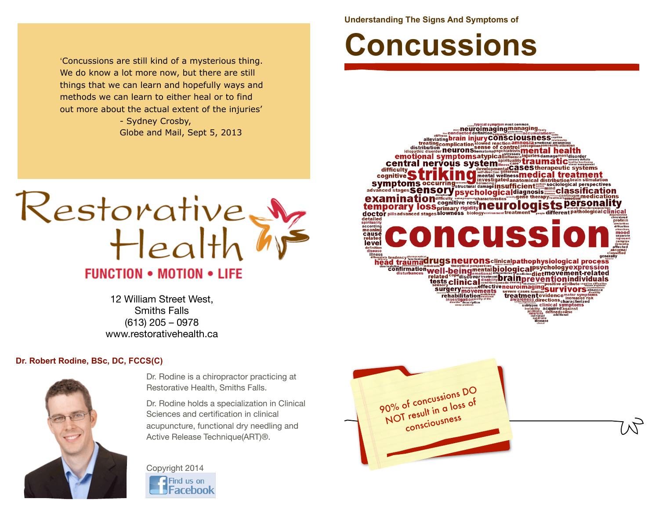'Concussions are still kind of a mysterious thing. We do know a lot more now, but there are still things that we can learn and hopefully ways and methods we can learn to either heal or to find out more about the actual extent of the injuries' - Sydney Crosby,

Globe and Mail, Sept 5, 2013



12 William Street West, Smiths Falls (613) 205 – 0978 www.restorativehealth.ca

## **Dr. Robert Rodine, BSc, DC, FCCS(C)**



Dr. Rodine is a chiropractor practicing at Restorative Health, Smiths Falls.

Dr. Rodine holds a specialization in Clinical Sciences and certification in clinical acupuncture, functional dry needling and Active Release Technique(ART)®.

Copyright 2014 Find us on Facebook **Understanding The Signs And Symptoms of** 

## **Concussions**